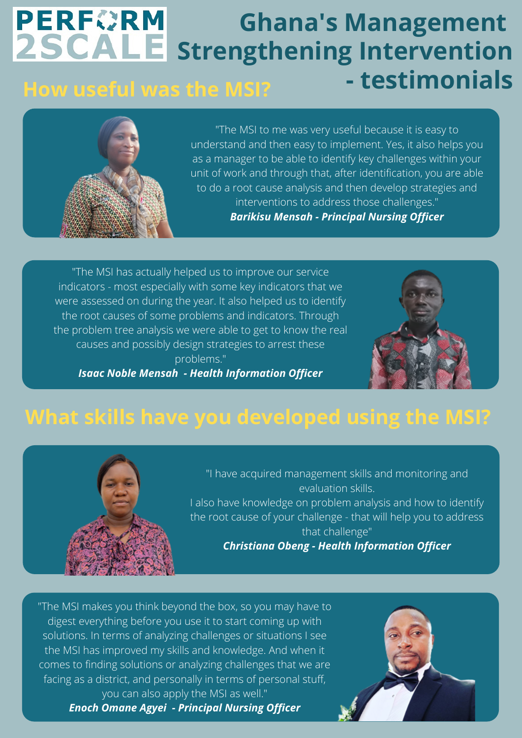### **PERFORM Ghana's Management 2SCALE** strengthening Intervention **- testimonials How useful was the MSI?**



"The MSI to me was very useful because it is easy to understand and then easy to implement. Yes, it also helps you as a manager to be able to identify key challenges within your unit of work and through that, after identification, you are able to do a root cause analysis and then develop strategies and interventions to address those challenges." *Barikisu Mensah - Principal Nursing Officer*

"The MSI has actually helped us to improve our service indicators - most especially with some key indicators that we were assessed on during the year. It also helped us to identify the root causes of some problems and indicators. Through the problem tree analysis we were able to get to know the real causes and possibly design strategies to arrest these problems."



*Isaac Noble Mensah - Health Information Officer*

# **What skills have you developed using the MSI?**



"I have acquired management skills and monitoring and evaluation skills. I also have knowledge on problem analysis and how to identify the root cause of your challenge - that will help you to address that challenge"

*Christiana Obeng - Health Information Officer*

"The MSI makes you think beyond the box, so you may have to digest everything before you use it to start coming up with solutions. In terms of analyzing challenges or situations I see the MSI has improved my skills and knowledge. And when it comes to finding solutions or analyzing challenges that we are facing as a district, and personally in terms of personal stuff, you can also apply the MSI as well."

*Enoch Omane Agyei - Principal Nursing Officer*

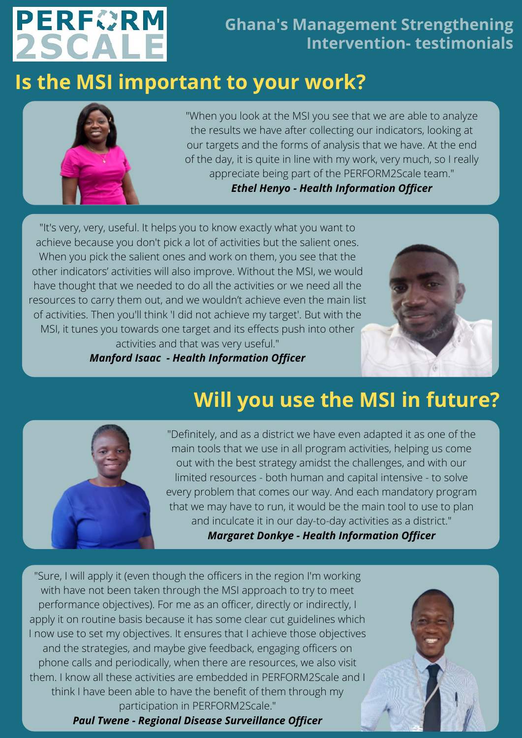

#### **Ghana's Management Strengthening Intervention- testimonials**

## **Is the MSI important to your work?**



"When you look at the MSI you see that we are able to analyze the results we have after collecting our indicators, looking at our targets and the forms of analysis that we have. At the end of the day, it is quite in line with my work, very much, so I really appreciate being part of the PERFORM2Scale team." *Ethel Henyo - Health Information Officer*

"It's very, very, useful. It helps you to know exactly what you want to achieve because you don't pick a lot of activities but the salient ones. When you pick the salient ones and work on them, you see that the other indicators' activities will also improve. Without the MSI, we would have thought that we needed to do all the activities or we need all the resources to carry them out, and we wouldn't achieve even the main list of activities. Then you'll think 'I did not achieve my target'. But with the MSI, it tunes you towards one target and its effects push into other activities and that was very useful."

*Manford Isaac - Health Information Officer*



# **Will you use the MSI in future?**



"Definitely, and as a district we have even adapted it as one of the main tools that we use in all program activities, helping us come out with the best strategy amidst the challenges, and with our limited resources - both human and capital intensive - to solve every problem that comes our way. And each mandatory program that we may have to run, it would be the main tool to use to plan and inculcate it in our day-to-day activities as a district."

*Margaret Donkye - Health Information Officer*

"Sure, I will apply it (even though the officers in the region I'm working with have not been taken through the MSI approach to try to meet performance objectives). For me as an officer, directly or indirectly, I apply it on routine basis because it has some clear cut guidelines which I now use to set my objectives. It ensures that I achieve those objectives and the strategies, and maybe give feedback, engaging officers on phone calls and periodically, when there are resources, we also visit them. I know all these activities are embedded in PERFORM2Scale and think I have been able to have the benefit of them through my participation in PERFORM2Scale."

*Paul Twene - Regional Disease Surveillance Officer*